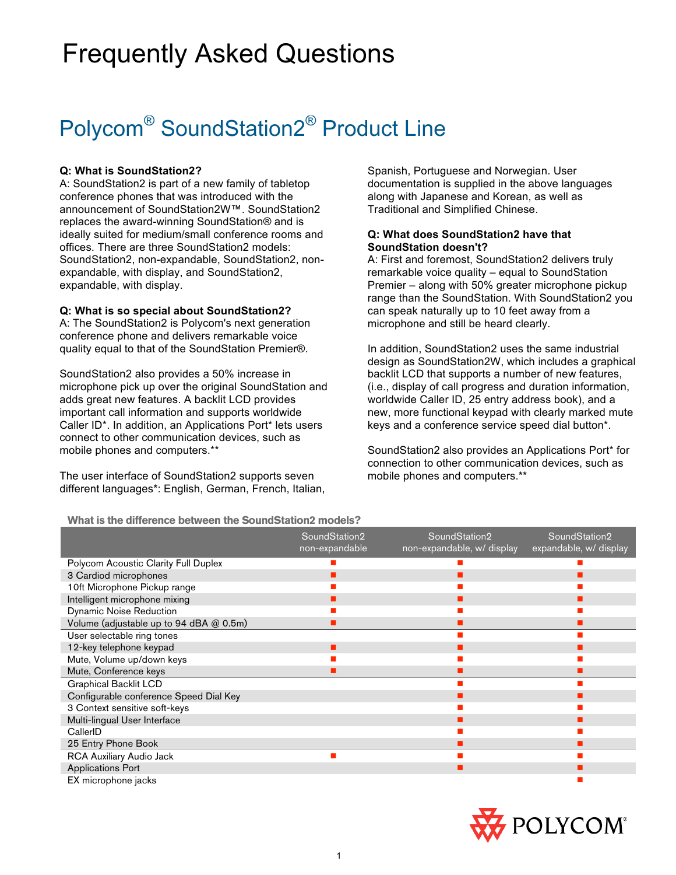# Frequently Asked Questions

# Polycom<sup>®</sup> SoundStation2<sup>®</sup> Product Line

# **Q: What is SoundStation2?**

A: SoundStation2 is part of a new family of tabletop conference phones that was introduced with the announcement of SoundStation2W™. SoundStation2 replaces the award-winning SoundStation® and is ideally suited for medium/small conference rooms and offices. There are three SoundStation2 models: SoundStation2, non-expandable, SoundStation2, nonexpandable, with display, and SoundStation2, expandable, with display.

## **Q: What is so special about SoundStation2?**

A: The SoundStation2 is Polycom's next generation conference phone and delivers remarkable voice quality equal to that of the SoundStation Premier®.

SoundStation2 also provides a 50% increase in microphone pick up over the original SoundStation and adds great new features. A backlit LCD provides important call information and supports worldwide Caller ID\*. In addition, an Applications Port\* lets users connect to other communication devices, such as mobile phones and computers.\*\*

The user interface of SoundStation2 supports seven different languages\*: English, German, French, Italian,

Spanish, Portuguese and Norwegian. User documentation is supplied in the above languages along with Japanese and Korean, as well as Traditional and Simplified Chinese.

# **Q: What does SoundStation2 have that SoundStation doesn't?**

A: First and foremost, SoundStation2 delivers truly remarkable voice quality – equal to SoundStation Premier – along with 50% greater microphone pickup range than the SoundStation. With SoundStation2 you can speak naturally up to 10 feet away from a microphone and still be heard clearly.

In addition, SoundStation2 uses the same industrial design as SoundStation2W, which includes a graphical backlit LCD that supports a number of new features, (i.e., display of call progress and duration information, worldwide Caller ID, 25 entry address book), and a new, more functional keypad with clearly marked mute keys and a conference service speed dial button\*.

SoundStation2 also provides an Applications Port\* for connection to other communication devices, such as mobile phones and computers.\*\*

#### **What is the difference between the SoundStation2 models?**

|                                         | SoundStation2<br>non-expandable | SoundStation2<br>non-expandable, w/ display | SoundStation2<br>expandable, w/ display |
|-----------------------------------------|---------------------------------|---------------------------------------------|-----------------------------------------|
| Polycom Acoustic Clarity Full Duplex    |                                 |                                             |                                         |
| 3 Cardiod microphones                   |                                 |                                             |                                         |
| 10ft Microphone Pickup range            |                                 |                                             |                                         |
| Intelligent microphone mixing           |                                 |                                             |                                         |
| <b>Dynamic Noise Reduction</b>          |                                 |                                             |                                         |
| Volume (adjustable up to 94 dBA @ 0.5m) |                                 |                                             |                                         |
| User selectable ring tones              |                                 |                                             |                                         |
| 12-key telephone keypad                 |                                 |                                             |                                         |
| Mute, Volume up/down keys               |                                 |                                             |                                         |
| Mute, Conference keys                   |                                 |                                             |                                         |
| <b>Graphical Backlit LCD</b>            |                                 |                                             |                                         |
| Configurable conference Speed Dial Key  |                                 |                                             |                                         |
| 3 Context sensitive soft-keys           |                                 |                                             |                                         |
| Multi-lingual User Interface            |                                 |                                             |                                         |
| CallerID                                |                                 |                                             |                                         |
| 25 Entry Phone Book                     |                                 |                                             |                                         |
| RCA Auxiliary Audio Jack                |                                 |                                             |                                         |
| <b>Applications Port</b>                |                                 |                                             |                                         |
| EX microphone jacks                     |                                 |                                             |                                         |